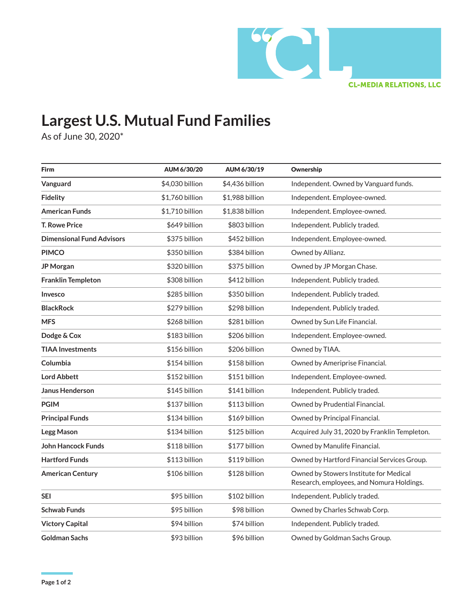

## **Largest U.S. Mutual Fund Families**

As of June 30, 2020\*

| <b>Firm</b>                      | AUM 6/30/20     | AUM 6/30/19     | Ownership                                                                           |
|----------------------------------|-----------------|-----------------|-------------------------------------------------------------------------------------|
| Vanguard                         | \$4,030 billion | \$4,436 billion | Independent. Owned by Vanguard funds.                                               |
| <b>Fidelity</b>                  | \$1,760 billion | \$1,988 billion | Independent. Employee-owned.                                                        |
| <b>American Funds</b>            | \$1,710 billion | \$1,838 billion | Independent. Employee-owned.                                                        |
| <b>T. Rowe Price</b>             | \$649 billion   | \$803 billion   | Independent. Publicly traded.                                                       |
| <b>Dimensional Fund Advisors</b> | \$375 billion   | \$452 billion   | Independent. Employee-owned.                                                        |
| <b>PIMCO</b>                     | \$350 billion   | \$384 billion   | Owned by Allianz.                                                                   |
| JP Morgan                        | \$320 billion   | \$375 billion   | Owned by JP Morgan Chase.                                                           |
| <b>Franklin Templeton</b>        | \$308 billion   | \$412 billion   | Independent. Publicly traded.                                                       |
| Invesco                          | \$285 billion   | \$350 billion   | Independent. Publicly traded.                                                       |
| <b>BlackRock</b>                 | \$279 billion   | \$298 billion   | Independent. Publicly traded.                                                       |
| <b>MFS</b>                       | \$268 billion   | \$281 billion   | Owned by Sun Life Financial.                                                        |
| Dodge & Cox                      | \$183 billion   | \$206 billion   | Independent. Employee-owned.                                                        |
| <b>TIAA Investments</b>          | \$156 billion   | \$206 billion   | Owned by TIAA.                                                                      |
| Columbia                         | \$154 billion   | \$158 billion   | Owned by Ameriprise Financial.                                                      |
| <b>Lord Abbett</b>               | \$152 billion   | \$151 billion   | Independent. Employee-owned.                                                        |
| <b>Janus Henderson</b>           | \$145 billion   | \$141 billion   | Independent. Publicly traded.                                                       |
| <b>PGIM</b>                      | \$137 billion   | \$113 billion   | Owned by Prudential Financial.                                                      |
| <b>Principal Funds</b>           | \$134 billion   | \$169 billion   | Owned by Principal Financial.                                                       |
| Legg Mason                       | \$134 billion   | \$125 billion   | Acquired July 31, 2020 by Franklin Templeton.                                       |
| <b>John Hancock Funds</b>        | \$118 billion   | \$177 billion   | Owned by Manulife Financial.                                                        |
| <b>Hartford Funds</b>            | \$113 billion   | \$119 billion   | Owned by Hartford Financial Services Group.                                         |
| <b>American Century</b>          | \$106 billion   | \$128 billion   | Owned by Stowers Institute for Medical<br>Research, employees, and Nomura Holdings. |
| <b>SEI</b>                       | \$95 billion    | \$102 billion   | Independent. Publicly traded.                                                       |
| Schwab Funds                     | \$95 billion    | \$98 billion    | Owned by Charles Schwab Corp.                                                       |
| <b>Victory Capital</b>           | \$94 billion    | \$74 billion    | Independent. Publicly traded.                                                       |
| Goldman Sachs                    | \$93 billion    | \$96 billion    | Owned by Goldman Sachs Group.                                                       |